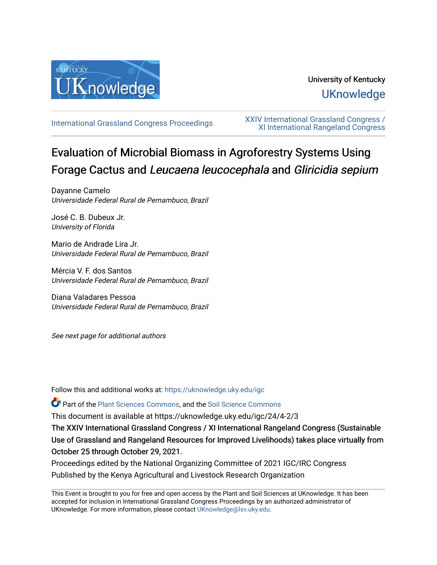

# University of Kentucky **UKnowledge**

[International Grassland Congress Proceedings](https://uknowledge.uky.edu/igc) [XXIV International Grassland Congress /](https://uknowledge.uky.edu/igc/24)  [XI International Rangeland Congress](https://uknowledge.uky.edu/igc/24) 

# Evaluation of Microbial Biomass in Agroforestry Systems Using Forage Cactus and Leucaena leucocephala and Gliricidia sepium

Dayanne Camelo Universidade Federal Rural de Pernambuco, Brazil

José C. B. Dubeux Jr. University of Florida

Mario de Andrade Lira Jr. Universidade Federal Rural de Pernambuco, Brazil

Mércia V. F. dos Santos Universidade Federal Rural de Pernambuco, Brazil

Diana Valadares Pessoa Universidade Federal Rural de Pernambuco, Brazil

See next page for additional authors

Follow this and additional works at: [https://uknowledge.uky.edu/igc](https://uknowledge.uky.edu/igc?utm_source=uknowledge.uky.edu%2Figc%2F24%2F4-2%2F3&utm_medium=PDF&utm_campaign=PDFCoverPages) 

Part of the [Plant Sciences Commons](http://network.bepress.com/hgg/discipline/102?utm_source=uknowledge.uky.edu%2Figc%2F24%2F4-2%2F3&utm_medium=PDF&utm_campaign=PDFCoverPages), and the [Soil Science Commons](http://network.bepress.com/hgg/discipline/163?utm_source=uknowledge.uky.edu%2Figc%2F24%2F4-2%2F3&utm_medium=PDF&utm_campaign=PDFCoverPages) 

This document is available at https://uknowledge.uky.edu/igc/24/4-2/3

The XXIV International Grassland Congress / XI International Rangeland Congress (Sustainable Use of Grassland and Rangeland Resources for Improved Livelihoods) takes place virtually from October 25 through October 29, 2021.

Proceedings edited by the National Organizing Committee of 2021 IGC/IRC Congress Published by the Kenya Agricultural and Livestock Research Organization

This Event is brought to you for free and open access by the Plant and Soil Sciences at UKnowledge. It has been accepted for inclusion in International Grassland Congress Proceedings by an authorized administrator of UKnowledge. For more information, please contact [UKnowledge@lsv.uky.edu](mailto:UKnowledge@lsv.uky.edu).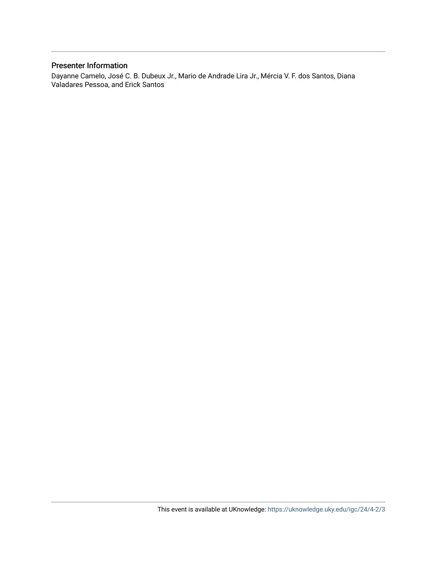## Presenter Information

Dayanne Camelo, José C. B. Dubeux Jr., Mario de Andrade Lira Jr., Mércia V. F. dos Santos, Diana Valadares Pessoa, and Erick Santos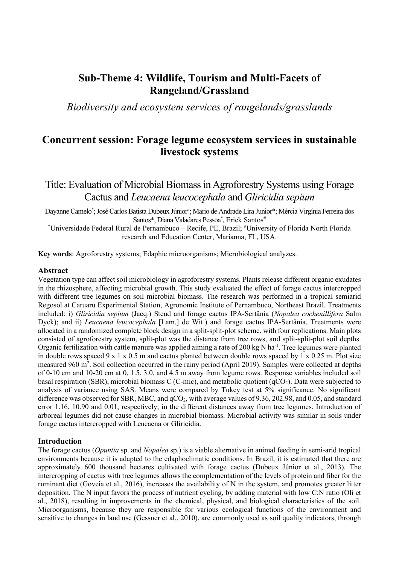# **Sub-Theme 4: Wildlife, Tourism and Multi-Facets of Rangeland/Grassland**

*Biodiversity and ecosystem services of rangelands/grasslands*

# **Concurrent session: Forage legume ecosystem services in sustainable livestock systems**

Title: Evaluation of Microbial Biomass in Agroforestry Systems using Forage Cactus and *Leucaena leucocephala* and *Gliricidia sepium* 

Dayanne Camelo\*; José Carlos Batista Dubeux Júnior#; Mario de Andrade Lira Junior\*; Mércia Virgínia Ferreira dos Santos\*, Diana Valadares Pessoa\*, Erick Santos#

\* Universidade Federal Rural de Pernambuco – Recife, PE, Brazil; # University of Florida North Florida research and Education Center, Marianna, FL, USA.

**Key words**: Agroforestry systems; Edaphic microorganisms; Microbiological analyzes.

#### **Abstract**

Vegetation type can affect soil microbiology in agroforestry systems. Plants release different organic exudates in the rhizosphere, affecting microbial growth. This study evaluated the effect of forage cactus intercropped with different tree legumes on soil microbial biomass. The research was performed in a tropical semiarid Regosol at Caruaru Experimental Station, Agronomic Institute of Pernambuco, Northeast Brazil. Treatments included: i) *Gliricidia sepium* (Jacq.) Steud and forage cactus IPA-Sertânia (*Nopalea cochenillifera* Salm Dyck); and ii) *Leucaena leucocephala* [Lam.] de Wit.) and forage cactus IPA-Sertânia. Treatments were allocated in a randomized complete block design in a split-split-plot scheme, with four replications. Main plots consisted of agroforestry system, split-plot was the distance from tree rows, and split-split-plot soil depths. Organic fertilization with cattle manure was applied aiming a rate of 200 kg N ha<sup>-1</sup>. Tree legumes were planted in double rows spaced 9 x 1 x 0.5 m and cactus planted between double rows spaced by 1 x 0.25 m. Plot size measured 960 m<sup>2</sup>. Soil collection occurred in the rainy period (April 2019). Samples were collected at depths of 0-10 cm and 10-20 cm at 0, 1.5, 3.0, and 4.5 m away from legume rows. Response variables included soil basal respiration (SBR), microbial biomass C (C-mic), and metabolic quotient (qCO2). Data were subjected to analysis of variance using SAS. Means were compared by Tukey test at 5% significance. No significant difference was observed for SBR, MBC, and qCO<sub>2</sub>, with average values of 9.36, 202.98, and 0.05, and standard error 1.16, 10.90 and 0.01, respectively, in the different distances away from tree legumes. Introduction of arboreal legumes did not cause changes in microbial biomass. Microbial activity was similar in soils under forage cactus intercropped with Leucaena or Gliricidia.

### **Introduction**

The forage cactus (*Opuntia* sp. and *Nopalea* sp.) is a viable alternative in animal feeding in semi-arid tropical environments because it is adapted to the edaphoclimatic conditions. In Brazil, it is estimated that there are approximately 600 thousand hectares cultivated with forage cactus (Dubeux Júnior et al., 2013). The intercropping of cactus with tree legumes allows the complementation of the levels of protein and fiber for the ruminant diet (Goveia et al., 2016), increases the availability of N in the system, and promotes greater litter deposition. The N input favors the process of nutrient cycling, by adding material with low C:N ratio (Oli et al., 2018), resulting in improvements in the chemical, physical, and biological characteristics of the soil. Microorganisms, because they are responsible for various ecological functions of the environment and sensitive to changes in land use (Gessner et al., 2010), are commonly used as soil quality indicators, through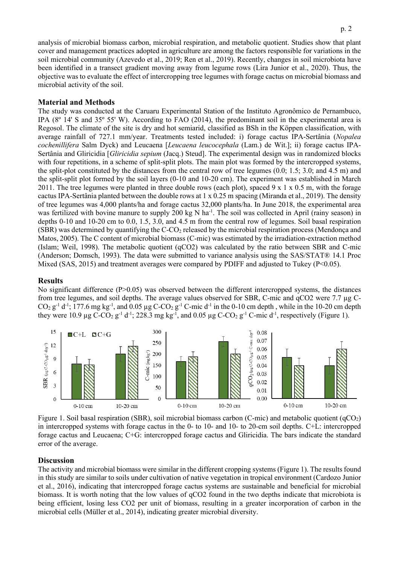p. 2

analysis of microbial biomass carbon, microbial respiration, and metabolic quotient. Studies show that plant cover and management practices adopted in agriculture are among the factors responsible for variations in the soil microbial community (Azevedo et al., 2019; Ren et al., 2019). Recently, changes in soil microbiota have been identified in a transect gradient moving away from legume rows (Lira Junior et al., 2020). Thus, the objective was to evaluate the effect of intercropping tree legumes with forage cactus on microbial biomass and microbial activity of the soil.

# **Material and Methods**

The study was conducted at the Caruaru Experimental Station of the Instituto Agronômico de Pernambuco, IPA (8º 14' S and 35º 55' W). According to FAO (2014), the predominant soil in the experimental area is Regosol. The climate of the site is dry and hot semiarid, classified as BSh in the Köppen classification, with average rainfall of 727.1 mm/year. Treatments tested included: i) forage cactus IPA-Sertânia (*Nopalea cochenillifera* Salm Dyck) and Leucaena [*Leucaena leucocephala* (Lam.) de Wit.]; ii) forage cactus IPA-Sertânia and Gliricidia [*Gliricidia sepium* (Jacq.) Steud]. The experimental design was in randomized blocks with four repetitions, in a scheme of split-split plots. The main plot was formed by the intercropped systems, the split-plot constituted by the distances from the central row of tree legumes (0.0; 1.5; 3.0; and 4.5 m) and the split-split plot formed by the soil layers (0-10 and 10-20 cm). The experiment was established in March 2011. The tree legumes were planted in three double rows (each plot), spaced 9 x 1 x 0.5 m, with the forage cactus IPA-Sertânia planted between the double rows at 1 x 0.25 m spacing (Miranda et al., 2019). The density of tree legumes was 4,000 plants/ha and forage cactus 32,000 plants/ha. In June 2018, the experimental area was fertilized with bovine manure to supply 200 kg N ha<sup>-1</sup>. The soil was collected in April (rainy season) in depths 0-10 and 10-20 cm to 0.0, 1.5, 3.0, and 4.5 m from the central row of legumes. Soil basal respiration (SBR) was determined by quantifying the  $C$ -CO<sub>2</sub> released by the microbial respiration process (Mendonça and Matos, 2005). The C content of microbial biomass (C-mic) was estimated by the irradiation-extraction method (Islam; Weil, 1998). The metabolic quotient (qCO2) was calculated by the ratio between SBR and C-mic (Anderson; Domsch, 1993). The data were submitted to variance analysis using the SAS/STAT® 14.1 Proc Mixed (SAS, 2015) and treatment averages were compared by PDIFF and adjusted to Tukey (P<0.05).

## **Results**

No significant difference (P>0.05) was observed between the different intercropped systems, the distances from tree legumes, and soil depths. The average values observed for SBR, C-mic and qCO2 were 7.7 µg C- $CO_2$   $g^{-1}$  d<sup>-1</sup>; 177.6 mg kg<sup>-1</sup>, and 0.05 µg C-CO<sub>2</sub> g<sup>-1</sup> C-mic d<sup>-1</sup> in the 0-10 cm depth, while in the 10-20 cm depth they were 10.9  $\mu$ g C-CO<sub>2</sub> g<sup>-1</sup> d<sup>-1</sup>; 228.3 mg kg<sup>-1</sup>, and 0.05  $\mu$ g C-CO<sub>2</sub> g<sup>-1</sup> C-mic d<sup>-1</sup>, respectively (Figure 1).



Figure 1. Soil basal respiration (SBR), soil microbial biomass carbon (C-mic) and metabolic quotient (qCO2) in intercropped systems with forage cactus in the 0- to 10- and 10- to 20-cm soil depths. C+L: intercropped forage cactus and Leucaena; C+G: intercropped forage cactus and Gliricidia. The bars indicate the standard error of the average.

## **Discussion**

The activity and microbial biomass were similar in the different cropping systems (Figure 1). The results found in this study are similar to soils under cultivation of native vegetation in tropical environment (Cardozo Junior et al., 2016), indicating that intercropped forage cactus systems are sustainable and beneficial for microbial biomass. It is worth noting that the low values of qCO2 found in the two depths indicate that microbiota is being efficient, losing less CO2 per unit of biomass, resulting in a greater incorporation of carbon in the microbial cells (Müller et al., 2014), indicating greater microbial diversity.